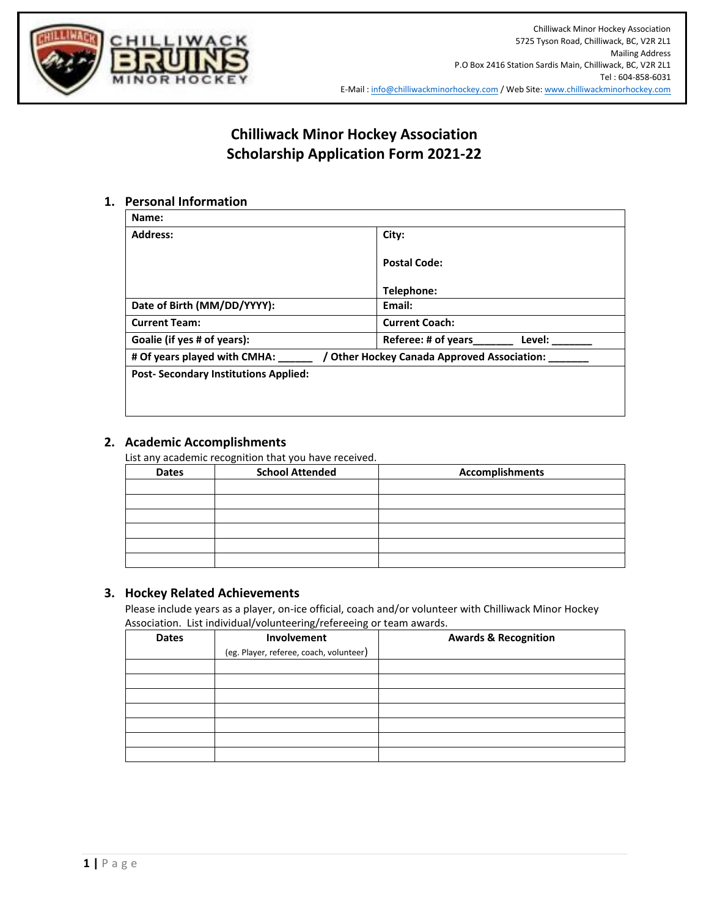

# **Chilliwack Minor Hockey Association Scholarship Application Form 2021-22**

## **1. Personal Information**

| Name:                                                                     |                               |  |
|---------------------------------------------------------------------------|-------------------------------|--|
| <b>Address:</b>                                                           | City:                         |  |
|                                                                           | <b>Postal Code:</b>           |  |
|                                                                           | Telephone:                    |  |
| Date of Birth (MM/DD/YYYY):                                               | Email:                        |  |
| <b>Current Team:</b>                                                      | <b>Current Coach:</b>         |  |
| Goalie (if yes # of years):                                               | Referee: # of years<br>Level: |  |
| # Of years played with CMHA:<br>Other Hockey Canada Approved Association: |                               |  |
| <b>Post-Secondary Institutions Applied:</b>                               |                               |  |
|                                                                           |                               |  |

### **2. Academic Accomplishments**

List any academic recognition that you have received.

| <b>Dates</b> | <b>School Attended</b> | <b>Accomplishments</b> |
|--------------|------------------------|------------------------|
|              |                        |                        |
|              |                        |                        |
|              |                        |                        |
|              |                        |                        |
|              |                        |                        |
|              |                        |                        |

#### **3. Hockey Related Achievements**

Please include years as a player, on-ice official, coach and/or volunteer with Chilliwack Minor Hockey Association. List individual/volunteering/refereeing or team awards.

| <b>Dates</b> | Involvement                             | <b>Awards &amp; Recognition</b> |
|--------------|-----------------------------------------|---------------------------------|
|              | (eg. Player, referee, coach, volunteer) |                                 |
|              |                                         |                                 |
|              |                                         |                                 |
|              |                                         |                                 |
|              |                                         |                                 |
|              |                                         |                                 |
|              |                                         |                                 |
|              |                                         |                                 |
|              |                                         |                                 |